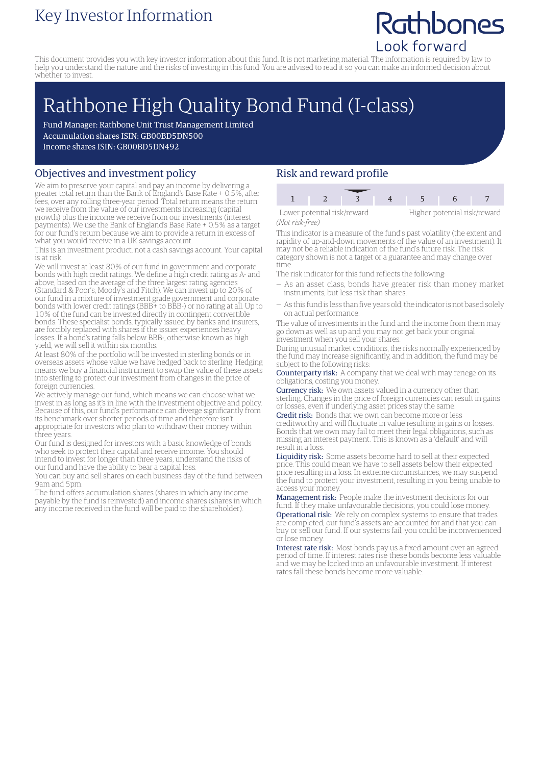### Key Investor Information

## Rathbones Look forward

This document provides you with key investor information about this fund. It is not marketing material. The information is required by law to help you understand the nature and the risks of investing in this fund. You are advised to read it so you can make an informed decision about whether to invest.

# Rathbone High Quality Bond Fund (I-class)

Fund Manager: Rathbone Unit Trust Management Limited Accumulation shares ISIN: GB00BD5DN500 Income shares ISIN: GB00BD5DN492

#### Objectives and investment policy

We aim to preserve your capital and pay an income by delivering a greater total return than the Bank of England's Base Rate + 0.5%, after fees, over any rolling three-year period. Total return means the return we receive from the value of our investments increasing (capital growth) plus the income we receive from our investments (interest payments). We use the Bank of England's Base Rate + 0.5% as a target for our fund's return because we aim to provide a return in excess of what you would receive in a UK savings account.

This is an investment product, not a cash savings account. Your capital is at risk.

We will invest at least 80% of our fund in government and corporate bonds with high credit ratings. We define a high credit rating as A- and above, based on the average of the three largest rating agencies (Standard & Poor's, Moody's and Fitch). We can invest up to 20% of our fund in a mixture of investment grade government and corporate bonds with lower credit ratings (BBB+ to BBB-) or no rating at all. Up to 10% of the fund can be invested directly in contingent convertible bonds. These specialist bonds, typically issued by banks and insurers, are forcibly replaced with shares if the issuer experiences heavy losses. If a bond's rating falls below BBB-, otherwise known as high yield, we will sell it within six months.

At least 80% of the portfolio will be invested in sterling bonds or in overseas assets whose value we have hedged back to sterling. Hedging means we buy a financial instrument to swap the value of these assets into sterling to protect our investment from changes in the price of foreign currencies.

We actively manage our fund, which means we can choose what we invest in as long as it's in line with the investment objective and policy. Because of this, our fund's performance can diverge significantly from its benchmark over shorter periods of time and therefore isn't appropriate for investors who plan to withdraw their money within three years.

Our fund is designed for investors with a basic knowledge of bonds who seek to protect their capital and receive income. You should intend to invest for longer than three years, understand the risks of our fund and have the ability to bear a capital loss.

You can buy and sell shares on each business day of the fund between 9am and 5pm.

The fund offers accumulation shares (shares in which any income payable by the fund is reinvested) and income shares (shares in which any income received in the fund will be paid to the shareholder).

### Risk and reward profile

| Lower potential risk/reward |  |  | Higher potential risk/reward |  |  |
|-----------------------------|--|--|------------------------------|--|--|
| (Not risk-free)             |  |  |                              |  |  |

This indicator is a measure of the fund's past volatility (the extent and rapidity of up-and-down movements of the value of an investment). It may not be a reliable indication of the fund's future risk. The risk category shown is not a target or a guarantee and may change over time.

The risk indicator for this fund reflects the following:

- As an asset class, bonds have greater risk than money market instruments, but less risk than shares.
- As this fund is less than five years old, the indicator is not based solely on actual performance.

The value of investments in the fund and the income from them may go down as well as up and you may not get back your original investment when you sell your shares.

During unusual market conditions, the risks normally experienced by the fund may increase significantly, and in addition, the fund may be subject to the following risks:

Counterparty risk: A company that we deal with may renege on its obligations, costing you money.

Currency risk: We own assets valued in a currency other than sterling. Changes in the price of foreign currencies can result in gains or losses, even if underlying asset prices stay the same.

Credit risk: Bonds that we own can become more or less creditworthy and will fluctuate in value resulting in gains or losses. Bonds that we own may fail to meet their legal obligations, such as missing an interest payment. This is known as a 'default' and will result in a loss.

Liquidity risk: Some assets become hard to sell at their expected price. This could mean we have to sell assets below their expected price resulting in a loss. In extreme circumstances, we may suspend the fund to protect your investment, resulting in you being unable to access your money

Management risk: People make the investment decisions for our fund. If they make unfavourable decisions, you could lose money. Operational risk: We rely on complex systems to ensure that trades are completed, our fund's assets are accounted for and that you can buy or sell our fund. If our systems fail, you could be inconvenienced or lose money.

Interest rate risk: Most bonds pay us a fixed amount over an agreed period of time. If interest rates rise these bonds become less valuable and we may be locked into an unfavourable investment. If interest rates fall these bonds become more valuable.